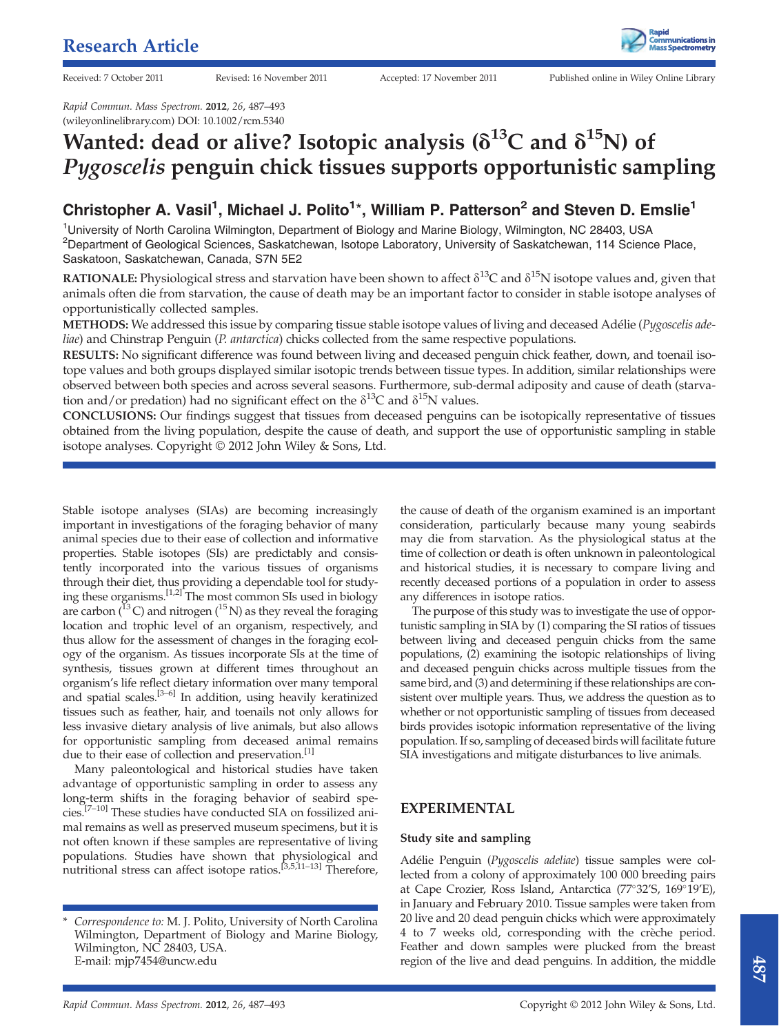

Rapid Commun. Mass Spectrom. 2012, 26, 487–493 (wileyonlinelibrary.com) DOI: 10.1002/rcm.5340

# Wanted: dead or alive? Isotopic analysis ( $\delta^{13}$ C and  $\delta^{15}$ N) of Pygoscelis penguin chick tissues supports opportunistic sampling

# Christopher A. Vasil<sup>1</sup>, Michael J. Polito<sup>1\*</sup>, William P. Patterson<sup>2</sup> and Steven D. Emslie<sup>1</sup>

<sup>1</sup>University of North Carolina Wilmington, Department of Biology and Marine Biology, Wilmington, NC 28403, USA <sup>2</sup>Department of Geological Sciences, Saskatchewan, Isotope Laboratory, University of Saskatchewan, 114 Science Place, Saskatoon, Saskatchewan, Canada, S7N 5E2

**RATIONALE:** Physiological stress and starvation have been shown to affect  $\delta^{13}C$  and  $\delta^{15}N$  isotope values and, given that animals often die from starvation, the cause of death may be an important factor to consider in stable isotope analyses of opportunistically collected samples.

METHODS: We addressed this issue by comparing tissue stable isotope values of living and deceased Adélie (Pygoscelis ade*liae*) and Chinstrap Penguin (*P. antarctica*) chicks collected from the same respective populations.

RESULTS: No significant difference was found between living and deceased penguin chick feather, down, and toenail isotope values and both groups displayed similar isotopic trends between tissue types. In addition, similar relationships were observed between both species and across several seasons. Furthermore, sub-dermal adiposity and cause of death (starvation and/or predation) had no significant effect on the  $\delta^{13}C$  and  $\delta^{15}N$  values.

CONCLUSIONS: Our findings suggest that tissues from deceased penguins can be isotopically representative of tissues obtained from the living population, despite the cause of death, and support the use of opportunistic sampling in stable isotope analyses. Copyright © 2012 John Wiley & Sons, Ltd.

Stable isotope analyses (SIAs) are becoming increasingly important in investigations of the foraging behavior of many animal species due to their ease of collection and informative properties. Stable isotopes (SIs) are predictably and consistently incorporated into the various tissues of organisms through their diet, thus providing a dependable tool for studying these organisms.[1,2] The most common SIs used in biology are carbon ( $^{13}$ C) and nitrogen ( $^{15}$ N) as they reveal the foraging location and trophic level of an organism, respectively, and thus allow for the assessment of changes in the foraging ecology of the organism. As tissues incorporate SIs at the time of synthesis, tissues grown at different times throughout an organism's life reflect dietary information over many temporal and spatial scales.[3–6] In addition, using heavily keratinized tissues such as feather, hair, and toenails not only allows for less invasive dietary analysis of live animals, but also allows for opportunistic sampling from deceased animal remains due to their ease of collection and preservation.<sup>[1]</sup>

Many paleontological and historical studies have taken advantage of opportunistic sampling in order to assess any long-term shifts in the foraging behavior of seabird species.[7–10] These studies have conducted SIA on fossilized animal remains as well as preserved museum specimens, but it is not often known if these samples are representative of living populations. Studies have shown that physiological and nutritional stress can affect isotope ratios.[3,5,11–13] Therefore,

the cause of death of the organism examined is an important consideration, particularly because many young seabirds may die from starvation. As the physiological status at the time of collection or death is often unknown in paleontological and historical studies, it is necessary to compare living and recently deceased portions of a population in order to assess any differences in isotope ratios.

The purpose of this study was to investigate the use of opportunistic sampling in SIA by (1) comparing the SI ratios of tissues between living and deceased penguin chicks from the same populations, (2) examining the isotopic relationships of living and deceased penguin chicks across multiple tissues from the same bird, and (3) and determining if these relationships are consistent over multiple years. Thus, we address the question as to whether or not opportunistic sampling of tissues from deceased birds provides isotopic information representative of the living population. If so, sampling of deceased birds will facilitate future SIA investigations and mitigate disturbances to live animals.

# EXPERIMENTAL

#### Study site and sampling

Adélie Penguin (Pygoscelis adeliae) tissue samples were collected from a colony of approximately 100 000 breeding pairs at Cape Crozier, Ross Island, Antarctica (77°32'S, 169°19'E), in January and February 2010. Tissue samples were taken from 20 live and 20 dead penguin chicks which were approximately 4 to 7 weeks old, corresponding with the crèche period. Feather and down samples were plucked from the breast region of the live and dead penguins. In addition, the middle

Correspondence to: M. J. Polito, University of North Carolina Wilmington, Department of Biology and Marine Biology, Wilmington, NC 28403, USA. E-mail: mjp7454@uncw.edu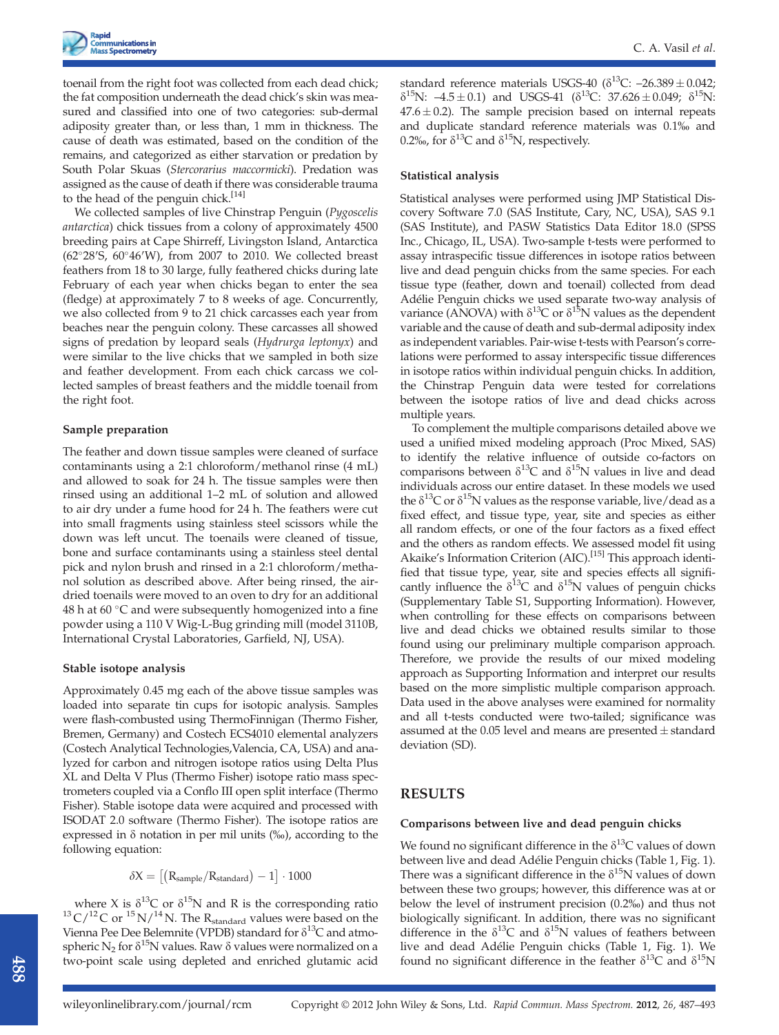toenail from the right foot was collected from each dead chick; the fat composition underneath the dead chick's skin was measured and classified into one of two categories: sub-dermal adiposity greater than, or less than, 1 mm in thickness. The cause of death was estimated, based on the condition of the remains, and categorized as either starvation or predation by South Polar Skuas (Stercorarius maccormicki). Predation was assigned as the cause of death if there was considerable trauma to the head of the penguin chick.<sup>[14]</sup>

We collected samples of live Chinstrap Penguin (Pygoscelis antarctica) chick tissues from a colony of approximately 4500 breeding pairs at Cape Shirreff, Livingston Island, Antarctica (62 $^{\circ}28'$ S, 60 $^{\circ}46'$ W), from 2007 to 2010. We collected breast feathers from 18 to 30 large, fully feathered chicks during late February of each year when chicks began to enter the sea (fledge) at approximately 7 to 8 weeks of age. Concurrently, we also collected from 9 to 21 chick carcasses each year from beaches near the penguin colony. These carcasses all showed signs of predation by leopard seals (Hydrurga leptonyx) and were similar to the live chicks that we sampled in both size and feather development. From each chick carcass we collected samples of breast feathers and the middle toenail from the right foot.

#### Sample preparation

The feather and down tissue samples were cleaned of surface contaminants using a 2:1 chloroform/methanol rinse (4 mL) and allowed to soak for 24 h. The tissue samples were then rinsed using an additional 1–2 mL of solution and allowed to air dry under a fume hood for 24 h. The feathers were cut into small fragments using stainless steel scissors while the down was left uncut. The toenails were cleaned of tissue, bone and surface contaminants using a stainless steel dental pick and nylon brush and rinsed in a 2:1 chloroform/methanol solution as described above. After being rinsed, the airdried toenails were moved to an oven to dry for an additional 48 h at 60  $\degree$ C and were subsequently homogenized into a fine powder using a 110 V Wig-L-Bug grinding mill (model 3110B, International Crystal Laboratories, Garfield, NJ, USA).

#### Stable isotope analysis

Approximately 0.45 mg each of the above tissue samples was loaded into separate tin cups for isotopic analysis. Samples were flash-combusted using ThermoFinnigan (Thermo Fisher, Bremen, Germany) and Costech ECS4010 elemental analyzers (Costech Analytical Technologies,Valencia, CA, USA) and analyzed for carbon and nitrogen isotope ratios using Delta Plus XL and Delta V Plus (Thermo Fisher) isotope ratio mass spectrometers coupled via a Conflo III open split interface (Thermo Fisher). Stable isotope data were acquired and processed with ISODAT 2.0 software (Thermo Fisher). The isotope ratios are expressed in  $\delta$  notation in per mil units (‰), according to the following equation:

 $\delta X = \left[ \left( R_{sample} / R_{standard} \right) - 1 \right] \cdot 1000$ 

where X is  $\delta^{13}C$  or  $\delta^{15}N$  and R is the corresponding ratio  $^{13}C/^{12}C$  or  $^{15}N/^{14}N$ . The R<sub>standard</sub> values were based on the Vienna Pee Dee Belemnite (VPDB) standard for  $\delta^{13}C$  and atmospheric N<sub>2</sub> for  $\delta^{15}N$  values. Raw  $\delta$  values were normalized on a two-point scale using depleted and enriched glutamic acid

standard reference materials USGS-40 ( $\delta^{13}$ C: -26.389 ± 0.042;  $\delta^{15}$ N:  $-4.5 \pm 0.1$ ) and USGS-41 ( $\delta^{13}$ C: 37.626  $\pm 0.049$ ;  $\delta^{15}$ N:  $47.6 \pm 0.2$ ). The sample precision based on internal repeats and duplicate standard reference materials was 0.1% and 0.2‰, for  $\delta^{13}C$  and  $\delta^{15}N$ , respectively.

#### Statistical analysis

Statistical analyses were performed using JMP Statistical Discovery Software 7.0 (SAS Institute, Cary, NC, USA), SAS 9.1 (SAS Institute), and PASW Statistics Data Editor 18.0 (SPSS Inc., Chicago, IL, USA). Two-sample t-tests were performed to assay intraspecific tissue differences in isotope ratios between live and dead penguin chicks from the same species. For each tissue type (feather, down and toenail) collected from dead Adélie Penguin chicks we used separate two-way analysis of variance (ANOVA) with  $\delta^{13}C$  or  $\delta^{15}N$  values as the dependent variable and the cause of death and sub-dermal adiposity index as independent variables. Pair-wise t-tests with Pearson's correlations were performed to assay interspecific tissue differences in isotope ratios within individual penguin chicks. In addition, the Chinstrap Penguin data were tested for correlations between the isotope ratios of live and dead chicks across multiple years.

To complement the multiple comparisons detailed above we used a unified mixed modeling approach (Proc Mixed, SAS) to identify the relative influence of outside co-factors on comparisons between  $\delta^{13}C$  and  $\delta^{15}N$  values in live and dead individuals across our entire dataset. In these models we used the  $\delta^{13}$ C or  $\delta^{15}$ N values as the response variable, live/dead as a fixed effect, and tissue type, year, site and species as either all random effects, or one of the four factors as a fixed effect and the others as random effects. We assessed model fit using Akaike's Information Criterion (AIC).<sup>[15]</sup> This approach identified that tissue type, year, site and species effects all significantly influence the  $\delta^{13}C$  and  $\delta^{15}N$  values of penguin chicks (Supplementary Table S1, Supporting Information). However, when controlling for these effects on comparisons between live and dead chicks we obtained results similar to those found using our preliminary multiple comparison approach. Therefore, we provide the results of our mixed modeling approach as Supporting Information and interpret our results based on the more simplistic multiple comparison approach. Data used in the above analyses were examined for normality and all t-tests conducted were two-tailed; significance was assumed at the 0.05 level and means are presented  $\pm$  standard deviation (SD).

# RESULTS

#### Comparisons between live and dead penguin chicks

We found no significant difference in the  $\delta^{13}$ C values of down between live and dead Adélie Penguin chicks (Table 1, Fig. 1). There was a significant difference in the  $\delta^{15}N$  values of down between these two groups; however, this difference was at or below the level of instrument precision (0.2%) and thus not biologically significant. In addition, there was no significant difference in the  $\delta^{13}C$  and  $\delta^{15}N$  values of feathers between live and dead Adélie Penguin chicks (Table 1, Fig. 1). We found no significant difference in the feather  $\delta^{13}C$  and  $\delta^{15}N$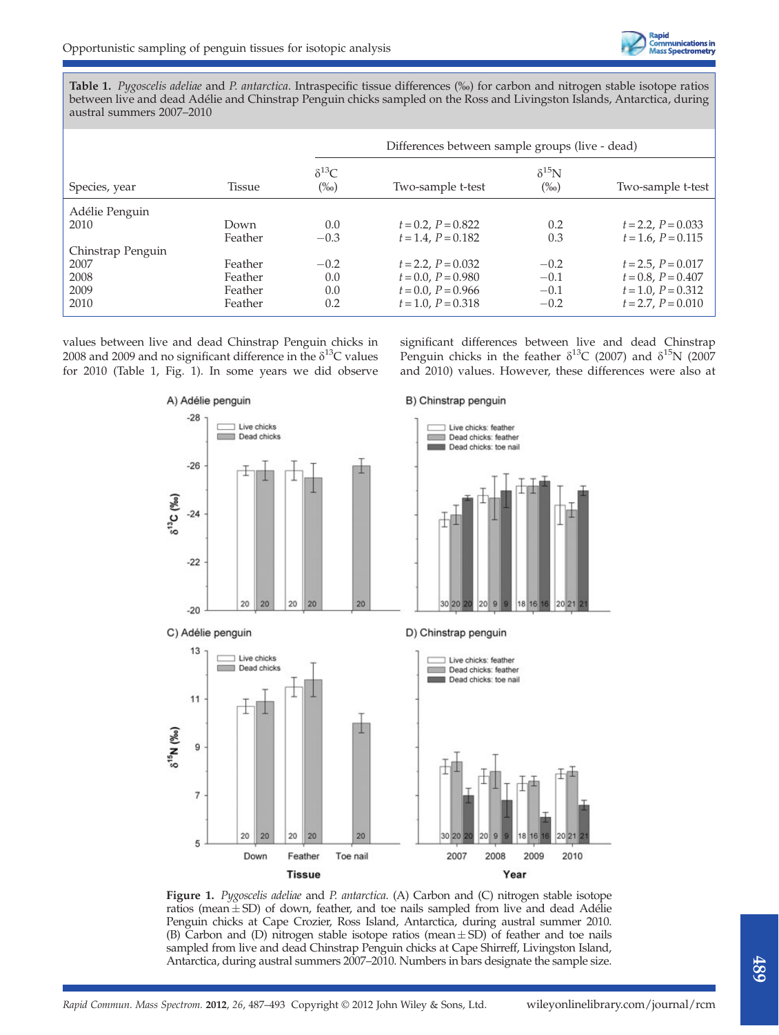Table 1. Pygoscelis adeliae and P. antarctica. Intraspecific tissue differences (‰) for carbon and nitrogen stable isotope ratios between live and dead Adélie and Chinstrap Penguin chicks sampled on the Ross and Livingston Islands, Antarctica, during austral summers 2007–2010

|                   |               |                           | Differences between sample groups (live - dead) |                           |                         |
|-------------------|---------------|---------------------------|-------------------------------------------------|---------------------------|-------------------------|
| Species, year     | <b>Tissue</b> | $\delta^{13}C$<br>$(\%0)$ | Two-sample t-test                               | $\delta^{15}N$<br>$(\%0)$ | Two-sample t-test       |
| Adélie Penguin    |               |                           |                                                 |                           |                         |
| 2010              | Down          | 0.0                       | $t = 0.2$ , $P = 0.822$                         | 0.2                       | $t = 2.2$ , $P = 0.033$ |
|                   | Feather       | $-0.3$                    | $t = 1.4$ , $P = 0.182$                         | 0.3                       | $t = 1.6$ , $P = 0.115$ |
| Chinstrap Penguin |               |                           |                                                 |                           |                         |
| 2007              | Feather       | $-0.2$                    | $t = 2.2$ , $P = 0.032$                         | $-0.2$                    | $t = 2.5$ , $P = 0.017$ |
| 2008              | Feather       | 0.0                       | $t = 0.0$ , $P = 0.980$                         | $-0.1$                    | $t = 0.8$ , $P = 0.407$ |
| 2009              | Feather       | 0.0                       | $t = 0.0$ , $P = 0.966$                         | $-0.1$                    | $t = 1.0$ , $P = 0.312$ |
| 2010              | Feather       | 0.2                       | $t = 1.0$ , $P = 0.318$                         | $-0.2$                    | $t = 2.7$ , $P = 0.010$ |

values between live and dead Chinstrap Penguin chicks in 2008 and 2009 and no significant difference in the  $\delta^{13}C$  values for 2010 (Table 1, Fig. 1). In some years we did observe significant differences between live and dead Chinstrap Penguin chicks in the feather  $\delta^{13}C$  (2007) and  $\delta^{15}N$  (2007 and 2010) values. However, these differences were also at



Figure 1. Pygoscelis adeliae and P. antarctica. (A) Carbon and (C) nitrogen stable isotope ratios (mean  $\pm$  SD) of down, feather, and toe nails sampled from live and dead Adélie Penguin chicks at Cape Crozier, Ross Island, Antarctica, during austral summer 2010. (B) Carbon and (D) nitrogen stable isotope ratios (mean  $\pm$  SD) of feather and toe nails sampled from live and dead Chinstrap Penguin chicks at Cape Shirreff, Livingston Island, Antarctica, during austral summers 2007–2010. Numbers in bars designate the sample size.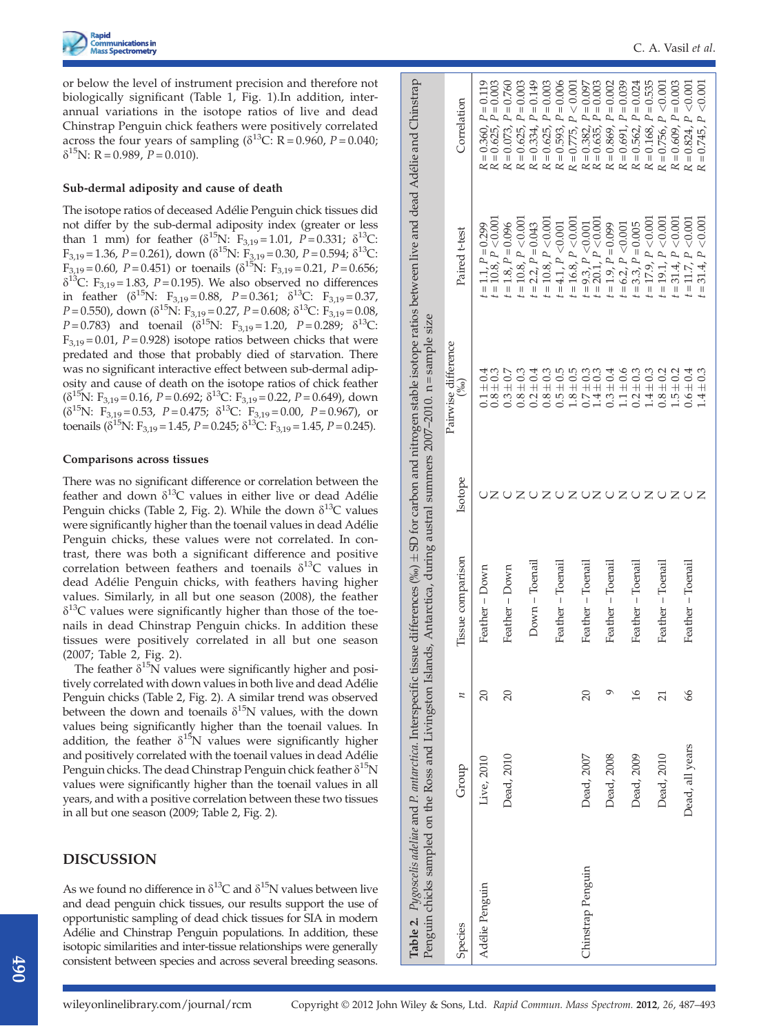or below the level of instrument precision and therefore not biologically significant (Table 1, Fig. 1).In addition, interannual variations in the isotope ratios of live and dead Chinstrap Penguin chick feathers were positively correlated across the four years of sampling ( $\delta^{13}$ C: R = 0.960, P = 0.040;  $\delta^{15}$ N: R = 0.989, P = 0.010).

#### Sub-dermal adiposity and cause of death

The isotope ratios of deceased Adélie Penguin chick tissues did not differ by the sub-dermal adiposity index (greater or less than 1 mm) for feather  $(\delta^{15}N: F_{3,19}=1.01, P=0.331; \delta^{13}C$ :  $F_{3,19}$  = 1.36, P = 0.261), down ( $\delta^{15}N$ :  $F_{3,19}$  = 0.30, P = 0.594;  $\delta^{13}C$ :  $F_{3,19} = 0.60$ ,  $P = 0.451$ ) or toenails ( $\delta^{15}$ N:  $F_{3,19} = 0.21$ ,  $P = 0.656$ ;  $\delta^{13}$ C: F<sub>3,19</sub> = 1.83, P = 0.195). We also observed no differences in feather ( $\delta^{15}N$ : F<sub>3,19</sub> = 0.88, P = 0.361;  $\delta^{13}C$ : F<sub>3,19</sub> = 0.37,  $P= 0.550$ ), down ( $\delta^{15}$ N: F<sub>3,19</sub> = 0.27, P = 0.608;  $\delta^{13}$ C: F<sub>3,19</sub> = 0.08,  $P= 0.783$ ) and toenail ( $\delta^{15}$ N: F<sub>3,19</sub> = 1.20,  $P= 0.289$ ;  $\delta^{13}$ C:  $F_{3,19}$  = 0.01, P = 0.928) isotope ratios between chicks that were predated and those that probably died of starvation. There was no significant interactive effect between sub-dermal adiposity and cause of death on the isotope ratios of chick feather  $(\delta^{15}N: F_{3,19} = 0.16, P = 0.692; \delta^{13}C: F_{3,19} = 0.22, P = 0.649)$ , down  $(\delta^{15}N: F_{3,19} = 0.53, P = 0.475; \delta^{13}C: F_{3,19} = 0.00, P = 0.967)$ , or toenails ( $\delta^{15}N$ : F<sub>3,19</sub> = 1.45, P = 0.245;  $\delta^{13}C$ : F<sub>3,19</sub> = 1.45, P = 0.245).

#### Comparisons across tissues

There was no significant difference or correlation between the feather and down  $\delta^{13}$ C values in either live or dead Adélie Penguin chicks (Table 2, Fig. 2). While the down  $\delta^{13}C$  values were significantly higher than the toenail values in dead Adélie Penguin chicks, these values were not correlated. In contrast, there was both a significant difference and positive correlation between feathers and toenails  $\delta^{13}$ C values in dead Adélie Penguin chicks, with feathers having higher values. Similarly, in all but one season (2008), the feather  $\delta^{13}$ C values were significantly higher than those of the toenails in dead Chinstrap Penguin chicks. In addition these tissues were positively correlated in all but one season (2007; Table 2, Fig. 2).

The feather  $\delta^{15}N$  values were significantly higher and positively correlated with down values in both live and dead Adélie Penguin chicks (Table 2, Fig. 2). A similar trend was observed between the down and toenails  $\delta^{15}N$  values, with the down values being significantly higher than the toenail values. In addition, the feather  $\delta^{15}N$  values were significantly higher and positively correlated with the toenail values in dead Adélie Penguin chicks. The dead Chinstrap Penguin chick feather  $\delta^{15}N$ values were significantly higher than the toenail values in all years, and with a positive correlation between these two tissues in all but one season (2009; Table 2, Fig. 2).

# DISCUSSION

As we found no difference in  $\delta^{13}C$  and  $\delta^{15}N$  values between live and dead penguin chick tissues, our results support the use of opportunistic sampling of dead chick tissues for SIA in modern Adélie and Chinstrap Penguin populations. In addition, these isotopic similarities and inter-tissue relationships were generally consistent between species and across several breeding seasons.

|                   |                 |                 |                   |         | <b>Table 2.</b> Pygoscelis adeliae and P. antarctica. Interspecific tissue differences (‰) $\pm$ SD for carbon and nitrogen stable isotope ratios between live and dead Adélie and Chinstrap<br>Penguin chicks sampled on the Ross and Livingston Islands, Antarctica, during austral summers 2007-2010. n = sample size |                                              |                                                  |
|-------------------|-----------------|-----------------|-------------------|---------|--------------------------------------------------------------------------------------------------------------------------------------------------------------------------------------------------------------------------------------------------------------------------------------------------------------------------|----------------------------------------------|--------------------------------------------------|
| Species           | Group           | z               | Tissue comparison | Isotope | Pairwise difference<br>$(\%)$                                                                                                                                                                                                                                                                                            | Paired t-test                                | Correlation                                      |
| Adélie Penguin    | Live, 2010      | $\overline{20}$ | Feather - Down    |         | $0.8 + 0.3$<br>$0.1 \pm 0.4$                                                                                                                                                                                                                                                                                             | $t = 10.8, P < 0.00$<br>$t = 1.1, P = 0.299$ | $R = 0.625, P = 0.003$<br>$R = 0.360, P = 0.119$ |
|                   | Dead, 2010      | 20              | Feather - Down    |         | $0.3 \pm 0.7$                                                                                                                                                                                                                                                                                                            | $t = 1.8$ , $P = 0.096$                      | $R = 0.073, P = 0.760$                           |
|                   |                 |                 |                   |         | $0.8 \pm 0.3$                                                                                                                                                                                                                                                                                                            | $t = 10.8, P < 0.00$                         | $R = 0.625, P = 0.003$                           |
|                   |                 |                 | Down – Toenail    |         | $0.2 \pm 0.4$                                                                                                                                                                                                                                                                                                            | $t = 2.2$ , $P = 0.043$                      | $R = 0.334, P = 0.149$                           |
|                   |                 |                 |                   |         | $0.8 \pm 0.3$                                                                                                                                                                                                                                                                                                            | $= 10.8, P < 0.00$                           | $R = 0.625, P = 0.003$                           |
|                   |                 |                 | Feather – Toenail |         | $0.5 + 0.5$                                                                                                                                                                                                                                                                                                              | $= 4.1, P < 0.001$                           | $R = 0.593, P = 0.006$                           |
|                   |                 |                 |                   |         | $1.8 \pm 0.5$                                                                                                                                                                                                                                                                                                            | $= 16.8, P < 0.00$                           | $R = 0.775, P < 0.001$                           |
| Chinstrap Penguin | Dead, 2007      | $\overline{c}$  | Feather - Toenail |         | $0.7 \pm 0.3$                                                                                                                                                                                                                                                                                                            | $= 9.3, P < 0.001$                           | $R = 0.382, P = 0.097$                           |
|                   |                 |                 |                   |         | $1.4 \pm 0.3$                                                                                                                                                                                                                                                                                                            | $= 20.1, P < 0.00$                           | $R = 0.635, P = 0.003$                           |
|                   | Dead, 2008      |                 | Feather – Toenail |         | $0.3 \pm 0.4$                                                                                                                                                                                                                                                                                                            | $= 1.9, P = 0.099$                           | $R = 0.869, P = 0.002$                           |
|                   |                 |                 |                   |         | $1.1 \pm 0.6$                                                                                                                                                                                                                                                                                                            | $= 6.2, P < 0.001$                           | $R = 0.691, P = 0.039$                           |
|                   | Dead, 2009      | $\frac{6}{2}$   | Feather – Toenail |         | $0.2 \pm 0.3$                                                                                                                                                                                                                                                                                                            | $t = 3.3, P = 0.005$                         | $R = 0.562, P = 0.024$                           |
|                   |                 |                 |                   |         | $1.4 \pm 0.3$                                                                                                                                                                                                                                                                                                            | $t = 17.9, P < 0.00$                         | $R = 0.168$ , $P = 0.535$                        |
|                   | Dead, 2010      | $\overline{c}$  | Feather – Toenail |         | $0.8 \pm 0.2$                                                                                                                                                                                                                                                                                                            | $t = 19.1, P < 0.00$                         | $R = 0.756, P < 0.001$                           |
|                   |                 |                 |                   |         | $1.5 \pm 0.2$                                                                                                                                                                                                                                                                                                            | $= 31.4, P < 0.001$                          | $R = 0.609, P = 0.003$                           |
|                   | Dead, all years | 66              | Feather – Toenail |         | $0.6 \pm 0.4$                                                                                                                                                                                                                                                                                                            | $t = 11.7, P < 0.001$                        | $R = 0.824, P < 0.001$                           |
|                   |                 |                 |                   |         | $1.4 \pm 0.3$                                                                                                                                                                                                                                                                                                            | $= 31.4, P < 0.001$                          | $R = 0.745, P < 0.001$                           |
|                   |                 |                 |                   |         |                                                                                                                                                                                                                                                                                                                          |                                              |                                                  |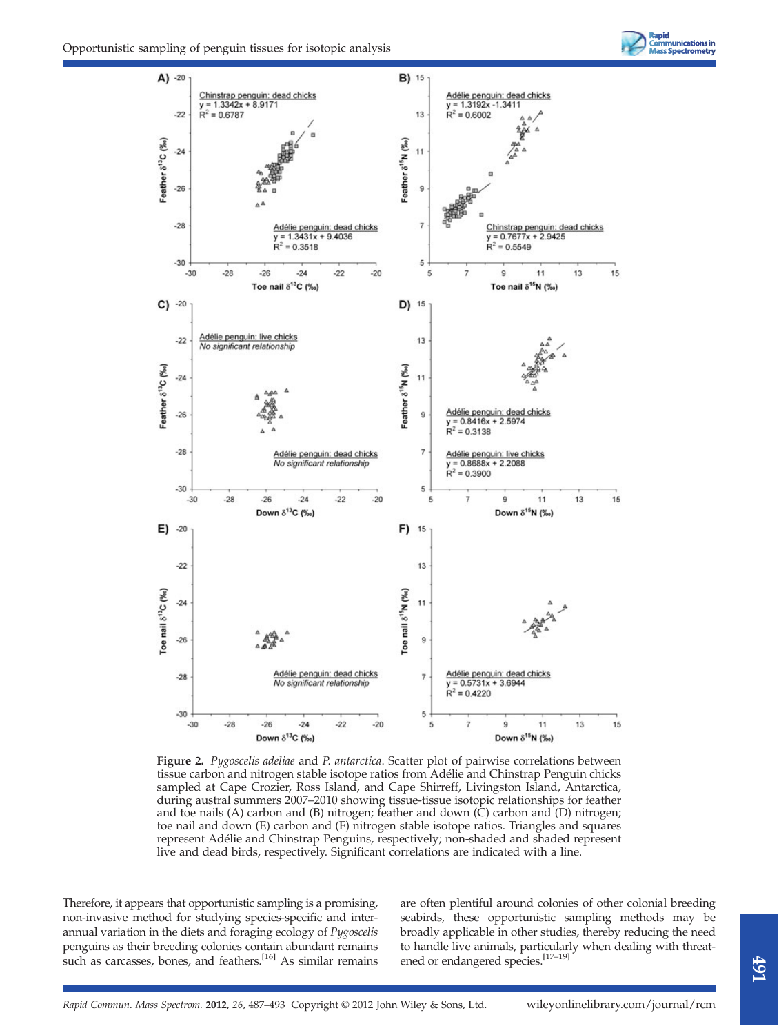



Figure 2. Pygoscelis adeliae and P. antarctica. Scatter plot of pairwise correlations between tissue carbon and nitrogen stable isotope ratios from Adélie and Chinstrap Penguin chicks sampled at Cape Crozier, Ross Island, and Cape Shirreff, Livingston Island, Antarctica, during austral summers 2007–2010 showing tissue-tissue isotopic relationships for feather and toe nails (A) carbon and (B) nitrogen; feather and down (C) carbon and (D) nitrogen; toe nail and down (E) carbon and (F) nitrogen stable isotope ratios. Triangles and squares represent Adélie and Chinstrap Penguins, respectively; non-shaded and shaded represent live and dead birds, respectively. Significant correlations are indicated with a line.

Therefore, it appears that opportunistic sampling is a promising, non-invasive method for studying species-specific and interannual variation in the diets and foraging ecology of Pygoscelis penguins as their breeding colonies contain abundant remains such as carcasses, bones, and feathers.<sup>[16]</sup> As similar remains are often plentiful around colonies of other colonial breeding seabirds, these opportunistic sampling methods may be broadly applicable in other studies, thereby reducing the need to handle live animals, particularly when dealing with threatened or endangered species.[17–19]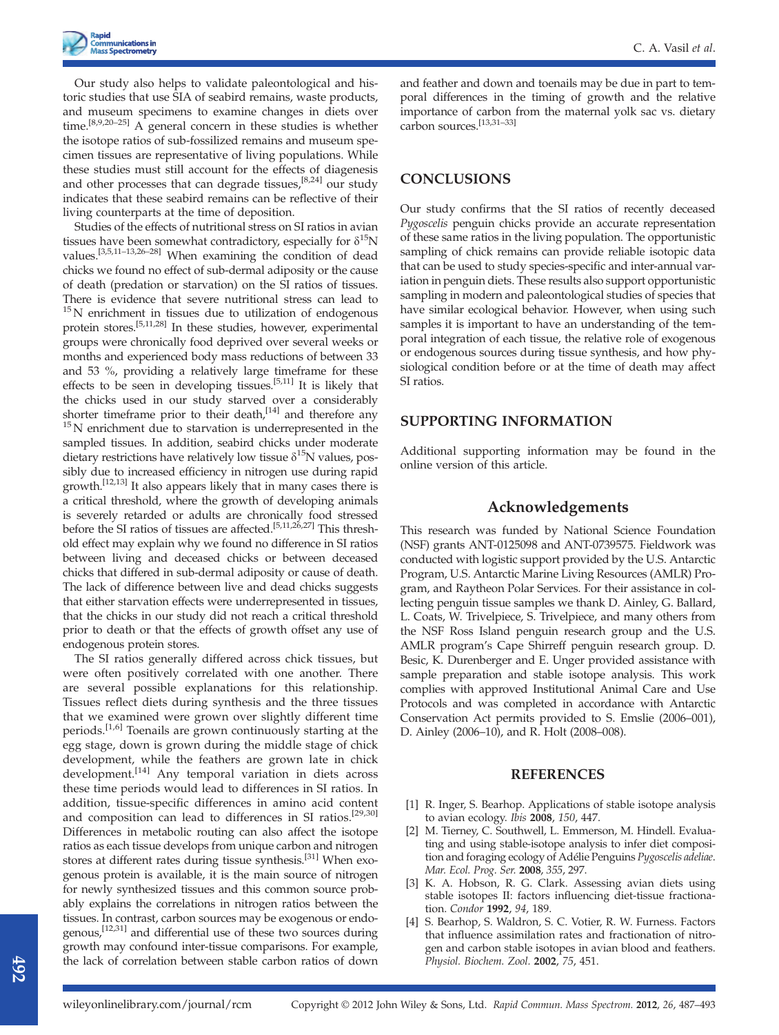Our study also helps to validate paleontological and historic studies that use SIA of seabird remains, waste products, and museum specimens to examine changes in diets over time.[8,9,20–25] A general concern in these studies is whether the isotope ratios of sub-fossilized remains and museum specimen tissues are representative of living populations. While these studies must still account for the effects of diagenesis and other processes that can degrade tissues,<sup>[8,24]</sup> our study indicates that these seabird remains can be reflective of their living counterparts at the time of deposition.

Studies of the effects of nutritional stress on SI ratios in avian tissues have been somewhat contradictory, especially for  $\delta^{15}N$ values.<sup>[3,5,11–13,26–28]</sup> When examining the condition of dead chicks we found no effect of sub-dermal adiposity or the cause of death (predation or starvation) on the SI ratios of tissues. There is evidence that severe nutritional stress can lead to  $15$ N enrichment in tissues due to utilization of endogenous protein stores.[5,11,28] In these studies, however, experimental groups were chronically food deprived over several weeks or months and experienced body mass reductions of between 33 and 53 %, providing a relatively large timeframe for these effects to be seen in developing tissues.[5,11] It is likely that the chicks used in our study starved over a considerably shorter timeframe prior to their death,<sup>[14]</sup> and therefore any <sup>15</sup>N enrichment due to starvation is underrepresented in the sampled tissues. In addition, seabird chicks under moderate dietary restrictions have relatively low tissue  $\delta^{15}N$  values, possibly due to increased efficiency in nitrogen use during rapid growth.[12,13] It also appears likely that in many cases there is a critical threshold, where the growth of developing animals is severely retarded or adults are chronically food stressed before the SI ratios of tissues are affected.<sup>[5,11,26,27]</sup> This threshold effect may explain why we found no difference in SI ratios between living and deceased chicks or between deceased chicks that differed in sub-dermal adiposity or cause of death. The lack of difference between live and dead chicks suggests that either starvation effects were underrepresented in tissues, that the chicks in our study did not reach a critical threshold prior to death or that the effects of growth offset any use of endogenous protein stores.

The SI ratios generally differed across chick tissues, but were often positively correlated with one another. There are several possible explanations for this relationship. Tissues reflect diets during synthesis and the three tissues that we examined were grown over slightly different time periods.<sup>[1,6]</sup> Toenails are grown continuously starting at the egg stage, down is grown during the middle stage of chick development, while the feathers are grown late in chick development.<sup>[14]</sup> Any temporal variation in diets across these time periods would lead to differences in SI ratios. In addition, tissue-specific differences in amino acid content and composition can lead to differences in SI ratios.<sup>[29,30]</sup> Differences in metabolic routing can also affect the isotope ratios as each tissue develops from unique carbon and nitrogen stores at different rates during tissue synthesis.[31] When exogenous protein is available, it is the main source of nitrogen for newly synthesized tissues and this common source probably explains the correlations in nitrogen ratios between the tissues. In contrast, carbon sources may be exogenous or endogenous,[12,31] and differential use of these two sources during growth may confound inter-tissue comparisons. For example, the lack of correlation between stable carbon ratios of down

and feather and down and toenails may be due in part to temporal differences in the timing of growth and the relative importance of carbon from the maternal yolk sac vs. dietary carbon sources.[13,31–33]

## **CONCLUSIONS**

Our study confirms that the SI ratios of recently deceased Pygoscelis penguin chicks provide an accurate representation of these same ratios in the living population. The opportunistic sampling of chick remains can provide reliable isotopic data that can be used to study species-specific and inter-annual variation in penguin diets. These results also support opportunistic sampling in modern and paleontological studies of species that have similar ecological behavior. However, when using such samples it is important to have an understanding of the temporal integration of each tissue, the relative role of exogenous or endogenous sources during tissue synthesis, and how physiological condition before or at the time of death may affect SI ratios.

## SUPPORTING INFORMATION

Additional supporting information may be found in the online version of this article.

# Acknowledgements

This research was funded by National Science Foundation (NSF) grants ANT-0125098 and ANT-0739575. Fieldwork was conducted with logistic support provided by the U.S. Antarctic Program, U.S. Antarctic Marine Living Resources (AMLR) Program, and Raytheon Polar Services. For their assistance in collecting penguin tissue samples we thank D. Ainley, G. Ballard, L. Coats, W. Trivelpiece, S. Trivelpiece, and many others from the NSF Ross Island penguin research group and the U.S. AMLR program's Cape Shirreff penguin research group. D. Besic, K. Durenberger and E. Unger provided assistance with sample preparation and stable isotope analysis. This work complies with approved Institutional Animal Care and Use Protocols and was completed in accordance with Antarctic Conservation Act permits provided to S. Emslie (2006–001), D. Ainley (2006–10), and R. Holt (2008–008).

#### **REFERENCES**

- [1] R. Inger, S. Bearhop. Applications of stable isotope analysis to avian ecology. Ibis 2008, 150, 447.
- [2] M. Tierney, C. Southwell, L. Emmerson, M. Hindell. Evaluating and using stable-isotope analysis to infer diet composition and foraging ecology of Adélie Penguins Pygoscelis adeliae. Mar. Ecol. Prog. Ser. 2008, 355, 297.
- [3] K. A. Hobson, R. G. Clark. Assessing avian diets using stable isotopes II: factors influencing diet-tissue fractionation. Condor 1992, 94, 189.
- [4] S. Bearhop, S. Waldron, S. C. Votier, R. W. Furness. Factors that influence assimilation rates and fractionation of nitrogen and carbon stable isotopes in avian blood and feathers. Physiol. Biochem. Zool. 2002, 75, 451.